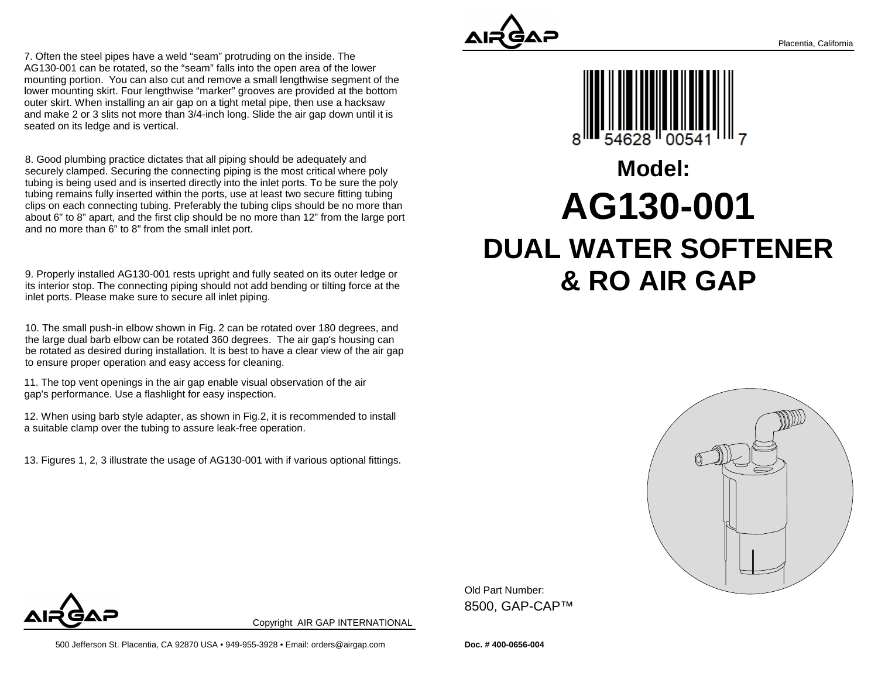7. Often the steel pipes have a weld "seam" protruding on the inside. The AG130-001 can be rotated, so the "seam" falls into the open area of the lower mounting portion. You can also cut and remove a small lengthwise segment of the lower mounting skirt. Four lengthwise "marker" grooves are provided at the bottomouter skirt. When installing an air gap on a tight metal pipe, then use a hacksaw and make 2 or 3 slits not more than 3/4-inch long. Slide the air gap down until it isseated on its ledge and is vertical.

8. Good plumbing practice dictates that all piping should be adequately and securely clamped. Securing the connecting piping is the most critical where poly tubing is being used and is inserted directly into the inlet ports. To be sure the poly tubing remains fully inserted within the ports, use at least two secure fitting tubing clips on each connecting tubing. Preferably the tubing clips should be no more than about 6" to 8" apart, and the first clip should be no more than 12" from the large portand no more than 6" to 8" from the small inlet port.

9. Properly installed AG130-001 rests upright and fully seated on its outer ledge or its interior stop. The connecting piping should not add bending or tilting force at theinlet ports. Please make sure to secure all inlet piping.

10. The small push-in elbow shown in Fig. 2 can be rotated over 180 degrees, and the large dual barb elbow can be rotated 360 degrees. The air gap's housing can be rotated as desired during installation. It is best to have a clear view of the air gapto ensure proper operation and easy access for cleaning.

11. The top vent openings in the air gap enable visual observation of the airgap's performance. Use a flashlight for easy inspection.

12. When using barb style adapter, as shown in Fig.2, it is recommended to installa suitable clamp over the tubing to assure leak-free operation.

13. Figures 1, 2, 3 illustrate the usage of AG130-001 with if various optional fittings.





## **Model:AG130-001 DUAL WATER SOFTENER& RO AIR GAP**



Old Part Number: 8500, GAP-CAP™



Copyright AIR GAP INTERNATIONAL